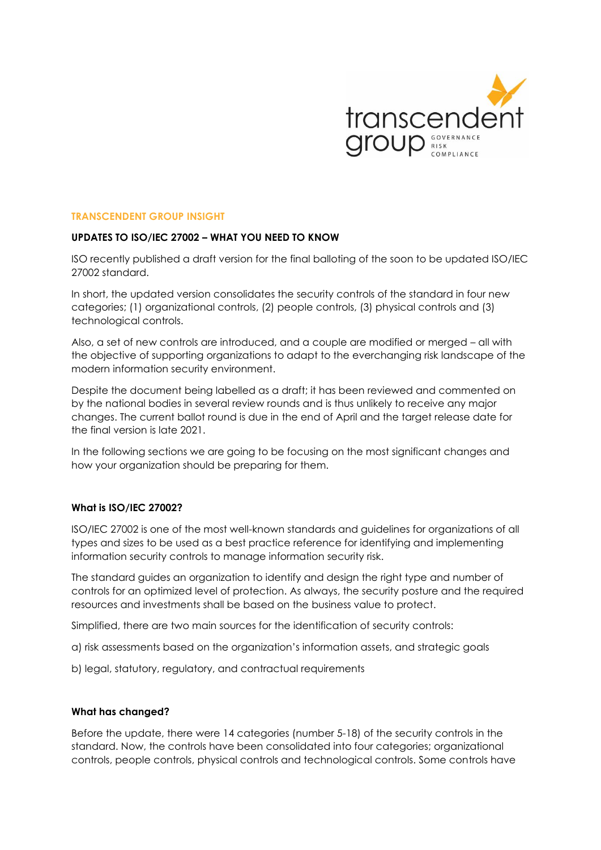

### **TRANSCENDENT GROUP INSIGHT**

### **UPDATES TO ISO/IEC 27002 – WHAT YOU NEED TO KNOW**

ISO recently published a draft version for the final balloting of the soon to be updated ISO/IEC 27002 standard.

In short, the updated version consolidates the security controls of the standard in four new categories; (1) organizational controls, (2) people controls, (3) physical controls and (3) technological controls.

Also, a set of new controls are introduced, and a couple are modified or merged – all with the objective of supporting organizations to adapt to the everchanging risk landscape of the modern information security environment.

Despite the document being labelled as a draft; it has been reviewed and commented on by the national bodies in several review rounds and is thus unlikely to receive any major changes. The current ballot round is due in the end of April and the target release date for the final version is late 2021.

In the following sections we are going to be focusing on the most significant changes and how your organization should be preparing for them.

### **What is ISO/IEC 27002?**

ISO/IEC 27002 is one of the most well-known standards and guidelines for organizations of all types and sizes to be used as a best practice reference for identifying and implementing information security controls to manage information security risk.

The standard guides an organization to identify and design the right type and number of controls for an optimized level of protection. As always, the security posture and the required resources and investments shall be based on the business value to protect.

Simplified, there are two main sources for the identification of security controls:

- a) risk assessments based on the organization's information assets, and strategic goals
- b) legal, statutory, regulatory, and contractual requirements

### **What has changed?**

Before the update, there were 14 categories (number 5-18) of the security controls in the standard. Now, the controls have been consolidated into four categories; organizational controls, people controls, physical controls and technological controls. Some controls have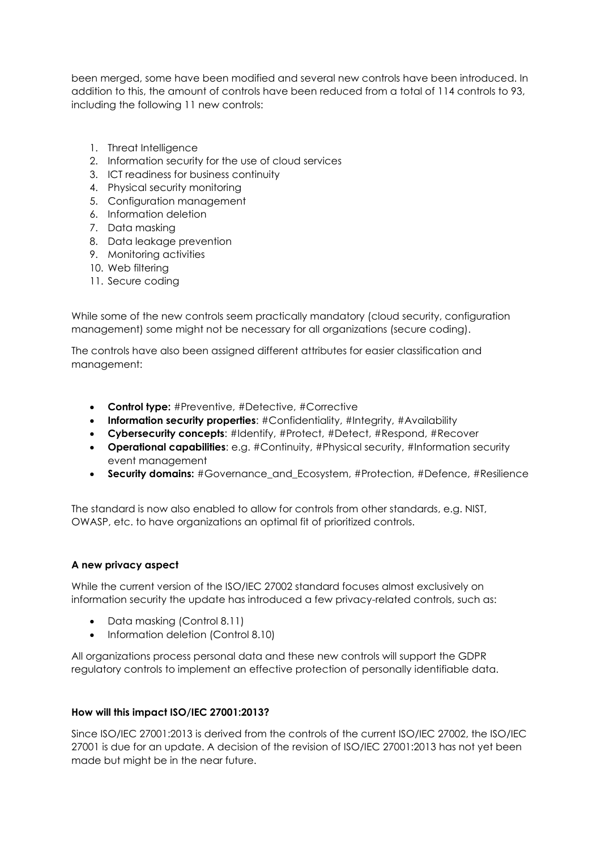been merged, some have been modified and several new controls have been introduced. In addition to this, the amount of controls have been reduced from a total of 114 controls to 93, including the following 11 new controls:

- 1. Threat Intelligence
- 2. Information security for the use of cloud services
- 3. ICT readiness for business continuity
- 4. Physical security monitoring
- 5. Configuration management
- 6. Information deletion
- 7. Data masking
- 8. Data leakage prevention
- 9. Monitoring activities
- 10. Web filtering
- 11. Secure coding

While some of the new controls seem practically mandatory (cloud security, configuration management) some might not be necessary for all organizations (secure coding).

The controls have also been assigned different attributes for easier classification and management:

- **Control type:** #Preventive, #Detective, #Corrective
- **Information security properties**: #Confidentiality, #Integrity, #Availability
- **Cybersecurity concepts**: #Identify, #Protect, #Detect, #Respond, #Recover
- **Operational capabilities**: e.g. #Continuity, #Physical security, #Information security event management
- **Security domains:** #Governance\_and\_Ecosystem, #Protection, #Defence, #Resilience

The standard is now also enabled to allow for controls from other standards, e.g. NIST, OWASP, etc. to have organizations an optimal fit of prioritized controls.

# **A new privacy aspect**

While the current version of the ISO/IEC 27002 standard focuses almost exclusively on information security the update has introduced a few privacy-related controls, such as:

- Data masking (Control 8.11)
- Information deletion (Control 8.10)

All organizations process personal data and these new controls will support the GDPR regulatory controls to implement an effective protection of personally identifiable data.

# **How will this impact ISO/IEC 27001:2013?**

Since ISO/IEC 27001:2013 is derived from the controls of the current ISO/IEC 27002, the ISO/IEC 27001 is due for an update. A decision of the revision of ISO/IEC 27001:2013 has not yet been made but might be in the near future.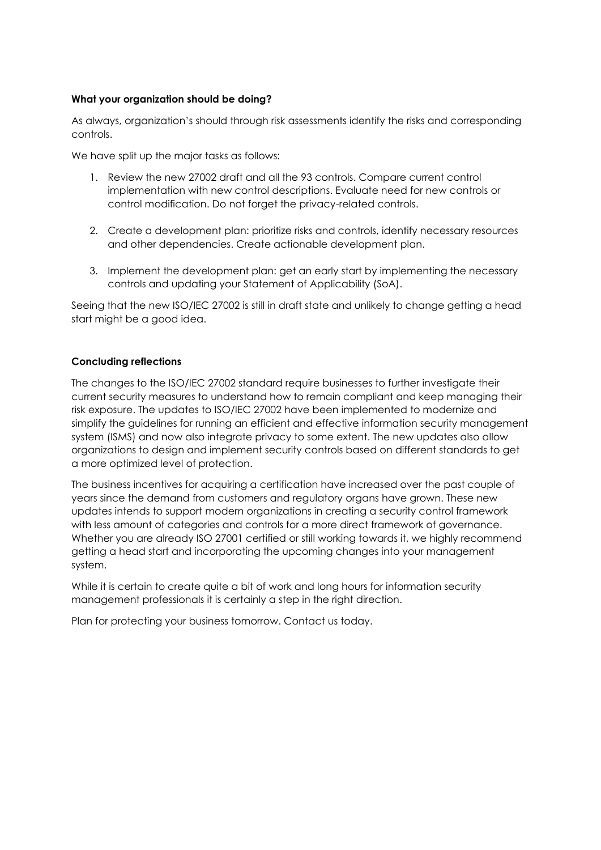## **What your organization should be doing?**

As always, organization's should through risk assessments identify the risks and corresponding controls.

We have split up the major tasks as follows:

- 1. Review the new 27002 draft and all the 93 controls. Compare current control implementation with new control descriptions. Evaluate need for new controls or control modification. Do not forget the privacy-related controls.
- 2. Create a development plan: prioritize risks and controls, identify necessary resources and other dependencies. Create actionable development plan.
- 3. Implement the development plan: get an early start by implementing the necessary controls and updating your Statement of Applicability (SoA).

Seeing that the new ISO/IEC 27002 is still in draft state and unlikely to change getting a head start might be a good idea.

## **Concluding reflections**

The changes to the ISO/IEC 27002 standard require businesses to further investigate their current security measures to understand how to remain compliant and keep managing their risk exposure. The updates to ISO/IEC 27002 have been implemented to modernize and simplify the guidelines for running an efficient and effective information security management system (ISMS) and now also integrate privacy to some extent. The new updates also allow organizations to design and implement security controls based on different standards to get a more optimized level of protection.

The business incentives for acquiring a certification have increased over the past couple of years since the demand from customers and regulatory organs have grown. These new updates intends to support modern organizations in creating a security control framework with less amount of categories and controls for a more direct framework of governance. Whether you are already ISO 27001 certified or still working towards it, we highly recommend getting a head start and incorporating the upcoming changes into your management system.

While it is certain to create quite a bit of work and long hours for information security management professionals it is certainly a step in the right direction.

Plan for protecting your business tomorrow. Contact us today.